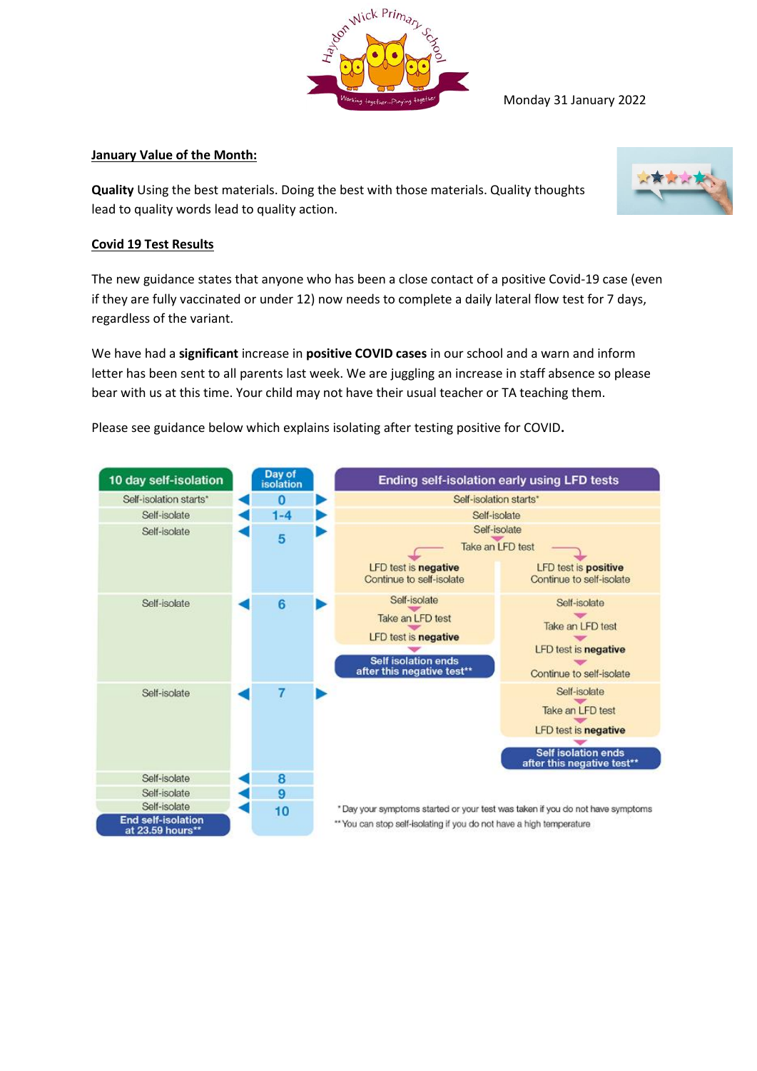

Monday 31 January 2022

## **January Value of the Month:**

**Quality** Using the best materials. Doing the best with those materials. Quality thoughts lead to quality words lead to quality action.



## **Covid 19 Test Results**

The new guidance states that anyone who has been a close contact of a positive Covid-19 case (even if they are fully vaccinated or under 12) now needs to complete a daily lateral flow test for 7 days, regardless of the variant.

We have had a **significant** increase in **positive COVID cases** in our school and a warn and inform letter has been sent to all parents last week. We are juggling an increase in staff absence so please bear with us at this time. Your child may not have their usual teacher or TA teaching them.

Please see guidance below which explains isolating after testing positive for COVID**.**

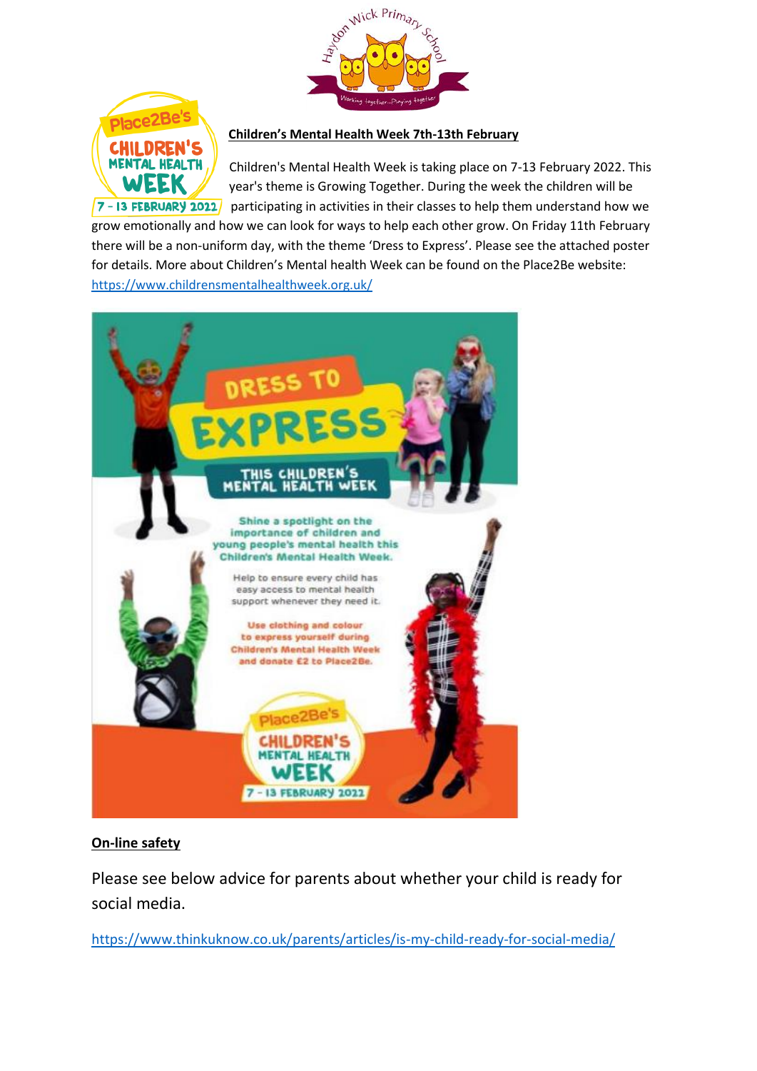



### **Children's Mental Health Week 7th-13th February**

Children's Mental Health Week is taking place on 7-13 February 2022. This year's theme is Growing Together. During the week the children will be  $\sqrt{7}$  - 13 FEBRUARY 2022/ participating in activities in their classes to help them understand how we

grow emotionally and how we can look for ways to help each other grow. On Friday 11th February there will be a non-uniform day, with the theme 'Dress to Express'. Please see the attached poster for details. More about Children's Mental health Week can be found on the Place2Be website: <https://www.childrensmentalhealthweek.org.uk/>



# **On-line safety**

Please see below advice for parents about whether your child is ready for social media.

<https://www.thinkuknow.co.uk/parents/articles/is-my-child-ready-for-social-media/>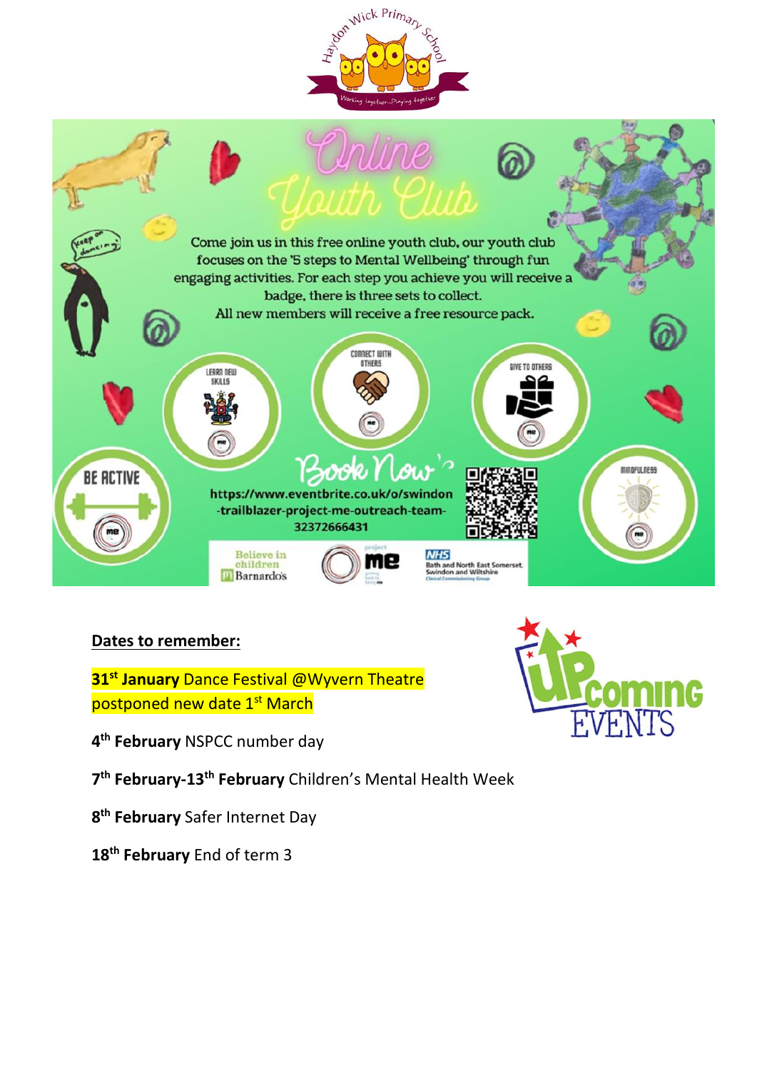



# **Dates to remember:**

**st January** Dance Festival @Wyvern Theatre postponed new date 1<sup>st</sup> March

**th February** NSPCC number day

**th February-13th February** Children's Mental Health Week

**th February** Safer Internet Day

**th February** End of term 3